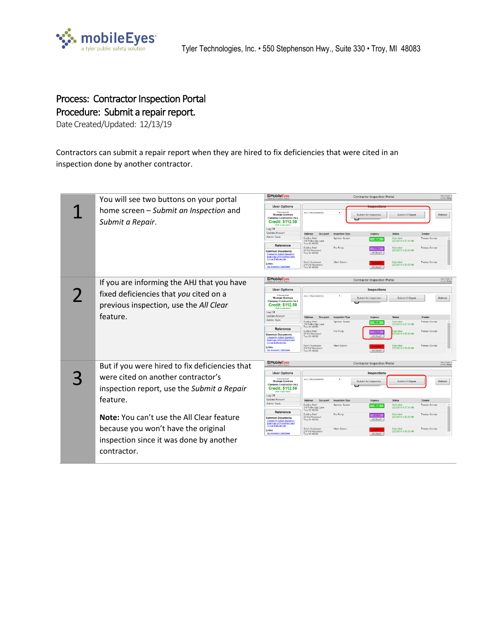

## Process: Contractor Inspection Portal Procedure: Submit a repair report.

Date Created/Updated: 12/13/19

Contractors can submit a repair report when they are hired to fix deficiencies that were cited in an inspection done by another contractor.

|  | You will see two buttons on your portal                                          | <b>EMobileEyes</b><br>Help Dask: 8<br><b>Contractor Inspection Portal</b><br>Email: helpt                                               |                                                                            |                  |                        |                                    |               |                             |
|--|----------------------------------------------------------------------------------|-----------------------------------------------------------------------------------------------------------------------------------------|----------------------------------------------------------------------------|------------------|------------------------|------------------------------------|---------------|-----------------------------|
|  |                                                                                  | <b>User Options</b>                                                                                                                     |                                                                            |                  |                        |                                    |               |                             |
|  | home screen - Submit an Inspection and<br>Submit a Repair.                       | Walcoma Nack<br><b>Thomas Gorman</b><br>(Campeau Construction Inc.)<br><b>Credit: \$112.50</b><br>click to get more                     | AHJ mf-cmedemo                                                             |                  | Submit An Inspection   | Submit A Repair                    |               | Refresh                     |
|  |                                                                                  | Log Off<br><b>Update Account</b>                                                                                                        | <b>Address</b><br>Occupant                                                 | Inspection Type  | Urgency                | <b>Status</b>                      | Creator       |                             |
|  |                                                                                  | <b>Admin Tools</b><br>Reference                                                                                                         | <b>Building Shell</b><br>110 Timberidge Lane<br>Trov. MI 48089             | Sprinkler System | None                   | Submitted<br>2/23/2019 9:37:34 AM  | Thomas Gorman |                             |
|  |                                                                                  | <b>Common Documents</b><br><b>Frequently Asked Questions</b><br><b>Examples of Impairment and</b><br><b>Critical Deficiencies</b>       | <b>Building Shell</b><br>28 Old Woodward<br>Troy, MI 48089                 | Fire Pump        | Critical<br>All Clear? | 2/23/2019 9:38:29 AM               | Thomas Gorman |                             |
|  |                                                                                  | Links<br>Tax Assessor Database                                                                                                          | Sam's Sportswear<br>210 Old Woodward<br>Troy, MI 48089                     | Alarm System     | All Clear?             | 2/23/2019 9:39:08 AM               | Thomas Gorman |                             |
|  | If you are informing the AHJ that you have                                       | <b>EMobileEyes</b>                                                                                                                      | <b>Help Dask: 8</b><br>Email: helps<br><b>Contractor Inspection Portal</b> |                  |                        |                                    |               |                             |
|  |                                                                                  | <b>User Options</b>                                                                                                                     |                                                                            |                  |                        |                                    |               |                             |
|  | fixed deficiencies that you cited on a                                           | Welcome back<br><b>Thomas Gorman</b><br>(Campeau Construction Inc.)<br><b>Credit: \$112.50</b>                                          | AHJ mf-cmedemo                                                             |                  | Submit An Inspection   | Submit A Repair                    |               | Refresh                     |
|  | previous inspection, use the All Clear                                           | lick to get more<br>Log Off                                                                                                             |                                                                            |                  |                        |                                    |               |                             |
|  | feature.                                                                         | <b>Update Account</b><br><b>Admin Tools</b>                                                                                             | Address<br>Occupant                                                        | Inspection Type  | Urgency                | <b>Status</b>                      | Creator       |                             |
|  |                                                                                  |                                                                                                                                         | <b>Building Shell</b><br>110 Timberidge Lane<br>Trov. MI 48089             | Sprinkler System | None                   | Submitted<br>2/23/2019 9:37:34 AM  | Thomas Gorman |                             |
|  |                                                                                  | <b>Reference</b><br><b>Common Documents</b><br><b>Frequently Asked Questions</b><br>Examples of Impairment and<br>Critical Deficiencies | <b>Building Shell</b><br>28 Old Woodward<br>Troy, MI 48089                 | Fire Pump        | Critical<br>All Clear? | 2/23/2019 9:38:29 AM               | Thomas Gorman |                             |
|  |                                                                                  | Links<br>Tax Assessor Database                                                                                                          | Sam's Sportswear<br>210 Old Woodward<br>Troy, MI 48089                     | Alarm System     | All Clear?             | 2/23/2019 9:39:08 AM               | Thomas Gorman |                             |
|  | But if you were hired to fix deficiencies that                                   | <b>EMobileEyes</b>                                                                                                                      | <b>Contractor Inspection Portal</b>                                        |                  |                        |                                    |               | Help Dask: 8<br>Email: help |
|  |                                                                                  | <b>User Options</b>                                                                                                                     | <b>Inspections</b>                                                         |                  |                        |                                    |               |                             |
|  | were cited on another contractor's<br>inspection report, use the Submit a Repair | Walcomo hark<br><b>Thomas Gorman</b><br>(Campeau Construction Inc.)<br><b>Credit: \$112.50</b>                                          | AHJ mf-cmedemo                                                             |                  | Submit An Inspection   | Submit A Repair                    |               | Refresh                     |
|  |                                                                                  | click to get mo<br>Log Off                                                                                                              |                                                                            |                  |                        |                                    |               |                             |
|  | feature.                                                                         | <b>Update Account</b><br>Admin Tools                                                                                                    | Address<br>Occupant                                                        | Inspection Type  | Urgency                | <b>Status</b><br>Submitted         | Creator       |                             |
|  |                                                                                  | Reference                                                                                                                               | Building Shell<br>110 Timberidge Lane<br>Troy, MI 48089                    | Sprinkler System | None                   | 2/23/2019 9:37:34 AM               | Thomas Gorman |                             |
|  | <b>Note:</b> You can't use the All Clear feature                                 | <b>Common Documents</b><br><b>Frequently Asked Questions</b><br>Examples of Impairment and                                              | <b>Building Shell</b><br>28 Old Woodward<br>Troy, MI 48089                 | Fire Pump        | Critical<br>All Clear? | Submittee<br>2/23/2019 9:38:29 AM  | Thomas Gorman |                             |
|  | because you won't have the original                                              | <b>Critical Deficiencies</b><br>Links<br>Tax Assessor Database                                                                          | Sam's Sportswear<br>210 Old Woodward<br>Troy, MI 48089                     | Alarm System     | All Clear?             | Colomitted<br>2/23/2019 9:39 08 AM | Thomas Gorman |                             |
|  | inspection since it was done by another<br>contractor.                           |                                                                                                                                         |                                                                            |                  |                        |                                    |               |                             |
|  |                                                                                  |                                                                                                                                         |                                                                            |                  |                        |                                    |               |                             |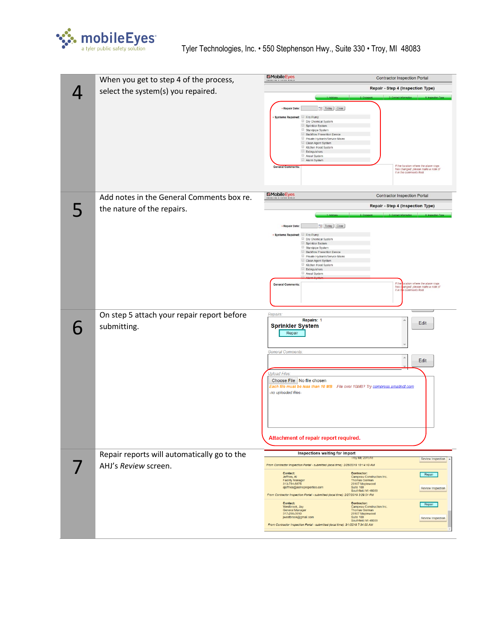

| When you get to step 4 of the process,      | EMobileEyes                                                                                                                                                       | <b>Contractor Inspection Portal</b>                                                                      |  |  |  |  |
|---------------------------------------------|-------------------------------------------------------------------------------------------------------------------------------------------------------------------|----------------------------------------------------------------------------------------------------------|--|--|--|--|
| select the system(s) you repaired.          |                                                                                                                                                                   | Repair - Step 4 (Inspection Type)                                                                        |  |  |  |  |
|                                             |                                                                                                                                                                   |                                                                                                          |  |  |  |  |
|                                             | - Repair Date:<br>Today Clear<br>Systems Repaired: Fire Pump                                                                                                      |                                                                                                          |  |  |  |  |
|                                             | Dry Chemical System<br>Sprinkler System<br>Standpipe System                                                                                                       |                                                                                                          |  |  |  |  |
|                                             | Backflow Prevention Device<br>Private Hydrants/Service Mains                                                                                                      |                                                                                                          |  |  |  |  |
|                                             | Clean Agent System<br>Kitchen Hood System<br>Extinguishers                                                                                                        |                                                                                                          |  |  |  |  |
|                                             | Ansul System<br>Alarm System                                                                                                                                      |                                                                                                          |  |  |  |  |
|                                             | <b>General Com</b>                                                                                                                                                | If the location where the alarm rings<br>has changed, please make a note of<br>it in the comments field. |  |  |  |  |
|                                             |                                                                                                                                                                   |                                                                                                          |  |  |  |  |
| Add notes in the General Comments box re.   | <b>EMobileEyes</b><br>ENABLING A SAFEK WORLD                                                                                                                      | <b>Contractor Inspection Portal</b>                                                                      |  |  |  |  |
| the nature of the repairs.                  |                                                                                                                                                                   | Repair - Step 4 (Inspection Type)                                                                        |  |  |  |  |
|                                             | Today Clear<br>· Repair Date:                                                                                                                                     |                                                                                                          |  |  |  |  |
|                                             | · Systems Repaired: Fire Pump<br>Dry Chemical System                                                                                                              |                                                                                                          |  |  |  |  |
|                                             | Sprinkler System<br>Standpipe System                                                                                                                              |                                                                                                          |  |  |  |  |
|                                             | Backflow Prevention Device<br>Private Hydrants/Service Mains<br>Clean Agent System                                                                                |                                                                                                          |  |  |  |  |
|                                             | Kitchen Hood System<br>Extinguishers<br>Ansul System                                                                                                              |                                                                                                          |  |  |  |  |
|                                             | <b>General Comments:</b>                                                                                                                                          | ocation where the alarm rings<br>If the                                                                  |  |  |  |  |
|                                             |                                                                                                                                                                   | has changed, please make a note of<br>it in the comments field.                                          |  |  |  |  |
|                                             |                                                                                                                                                                   |                                                                                                          |  |  |  |  |
| On step 5 attach your repair report before  | Repairs:<br>Repairs: 1                                                                                                                                            |                                                                                                          |  |  |  |  |
| submitting.                                 | <b>Sprinkler System</b><br>Repair                                                                                                                                 | Edit                                                                                                     |  |  |  |  |
|                                             |                                                                                                                                                                   |                                                                                                          |  |  |  |  |
|                                             | <b>General Comments:</b>                                                                                                                                          |                                                                                                          |  |  |  |  |
|                                             | Edit<br><b>Upload Files:</b><br>Choose File No file chosen<br>Each file must be less than 10 MB  File over 10MB? Try compress.smallpdf.com<br>-no uploaded files- |                                                                                                          |  |  |  |  |
|                                             |                                                                                                                                                                   |                                                                                                          |  |  |  |  |
|                                             |                                                                                                                                                                   |                                                                                                          |  |  |  |  |
|                                             |                                                                                                                                                                   |                                                                                                          |  |  |  |  |
|                                             |                                                                                                                                                                   |                                                                                                          |  |  |  |  |
|                                             |                                                                                                                                                                   |                                                                                                          |  |  |  |  |
|                                             | Attachment of repair report required.                                                                                                                             |                                                                                                          |  |  |  |  |
| Repair reports will automatically go to the | Inspections waiting for import                                                                                                                                    |                                                                                                          |  |  |  |  |
| AHJ's Review screen.                        | From Contractor Inspection Portal - submitted (local time): 2/26/2019 10:14:10 AM                                                                                 | <b>TOV ME 23151</b><br>Review Inspection                                                                 |  |  |  |  |
|                                             | Contact:<br>Contractor:<br>Jeffries, Al<br><b>Facility Manager</b>                                                                                                | Repair<br>Campeau Construction Inc.<br><b>Thomas Gorman</b>                                              |  |  |  |  |
|                                             | 313-784-8875<br>ajeffries@acmeproperties.com<br>Suite 100                                                                                                         | 29107 Maplewood<br>Review Inspection<br>Southfield MI 48039                                              |  |  |  |  |
|                                             | From Contractor Inspection Portal - submitted (local time): 2/27/2019 3:29:51 PM<br><b>Contact:</b><br>Contractor:                                                |                                                                                                          |  |  |  |  |
|                                             | Westbrook, Jay<br>General Manager<br>317-298-3910                                                                                                                 | Repair<br>Campeau Construction Inc.<br>Thomas Gorman<br>29107 Maplewood                                  |  |  |  |  |
|                                             | jwestbrook@gmail.com<br>Suite 100<br>From Contractor Inspection Portal - submitted (local time): 3/1/2019 7:34:00 AM                                              | <b>Review Inspection</b><br>Southfield MI 48039                                                          |  |  |  |  |
|                                             |                                                                                                                                                                   |                                                                                                          |  |  |  |  |